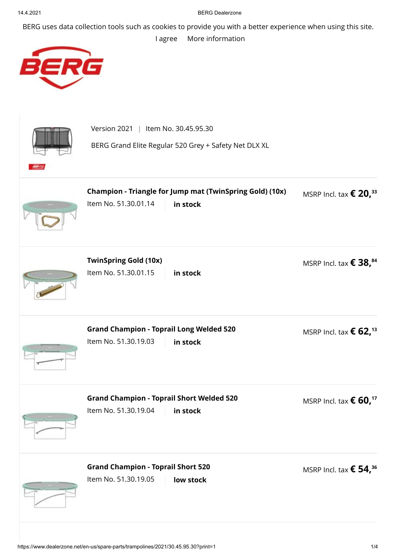## 14.4.2021 BERG Dealerzone

BERG uses data collection tools such as cookies to provide you with a better experience when using this site.

[I agree](https://www.dealerzone.net/en-us/spare-parts/trampolines/2021/30.45.95.30?print=1) [More information](https://www.dealerzone.net/en-us/privacy-policy/)



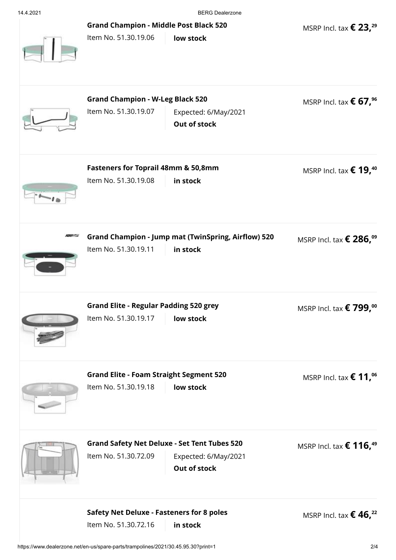14.4.2021 BERG Dealerzone

MSRP Incl. tax **€ 23, 29**

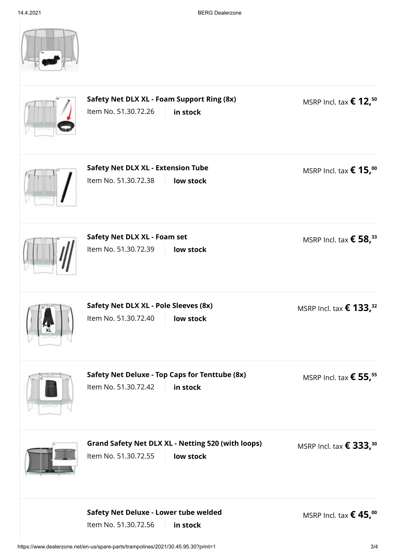|           | Safety Net DLX XL - Foam Support Ring (8x)<br>Item No. 51.30.72.26<br>in stock                 | MSRP Incl. tax $\epsilon$ 12, <sup>50</sup>  |
|-----------|------------------------------------------------------------------------------------------------|----------------------------------------------|
|           | <b>Safety Net DLX XL - Extension Tube</b><br>Item No. 51.30.72.38<br>low stock                 | MSRP Incl. tax $\epsilon$ 15, <sup>00</sup>  |
|           | Safety Net DLX XL - Foam set<br>Item No. 51.30.72.39<br>low stock                              | MSRP Incl. tax $\epsilon$ 58, <sup>33</sup>  |
| <b>XL</b> | Safety Net DLX XL - Pole Sleeves (8x)<br>Item No. 51.30.72.40<br>low stock                     | MSRP Incl. tax $\epsilon$ 133, <sup>32</sup> |
|           | Safety Net Deluxe - Top Caps for Tenttube (8x)<br>Item No. 51.30.72.42<br>in stock             | MSRP Incl. tax $\epsilon$ 55, <sup>55</sup>  |
|           | <b>Grand Safety Net DLX XL - Netting 520 (with loops)</b><br>Item No. 51.30.72.55<br>low stock | MSRP Incl. tax $\epsilon$ 333, <sup>30</sup> |
|           | Safety Net Deluxe - Lower tube welded<br>Item No. 51.30.72.56<br>in stock                      | MSRP Incl. tax $\epsilon$ 45, <sup>00</sup>  |